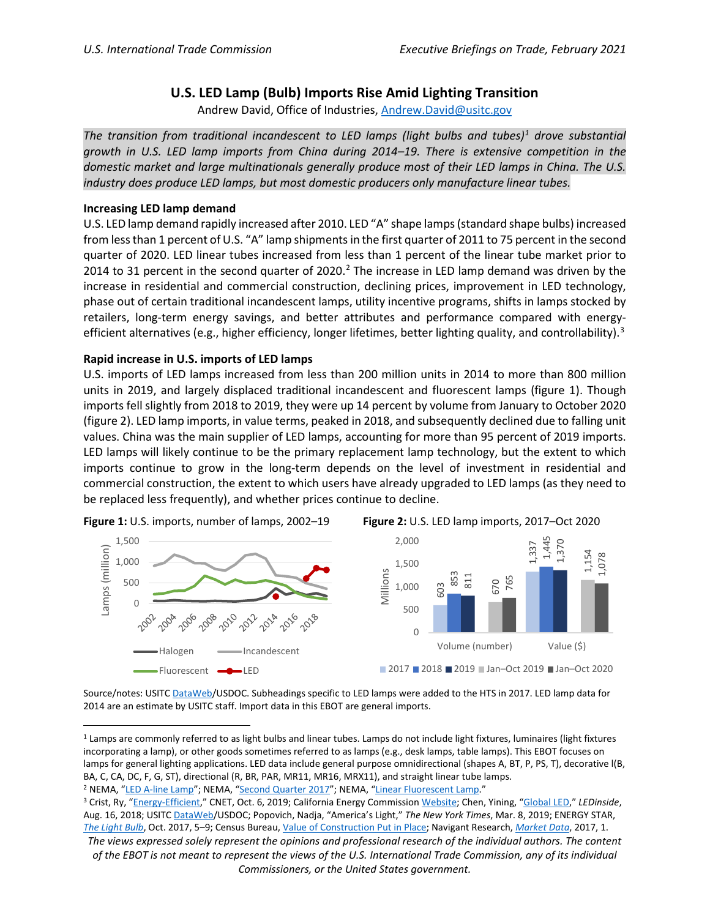## **U.S. LED Lamp (Bulb) Imports Rise Amid Lighting Transition**

Andrew David, Office of Industries, [Andrew.David@usitc.gov](mailto:Andrew.David@usitc.gov)

*The transition from traditional incandescent to LED lamps (light bulbs and tubes)[1](#page-0-0) drove substantial growth in U.S. LED lamp imports from China during 2014–19. There is extensive competition in the*  domestic market and large multinationals generally produce most of their LED lamps in China. The U.S. *industry does produce LED lamps, but most domestic producers only manufacture linear tubes.*

## **Increasing LED lamp demand**

U.S. LED lamp demand rapidly increased after 2010. LED "A" shape lamps (standard shape bulbs) increased from less than 1 percent of U.S. "A" lamp shipments in the first quarter of 2011 to 75 percent in the second quarter of 2020. LED linear tubes increased from less than 1 percent of the linear tube market prior to [2](#page-0-1)014 to 31 percent in the second quarter of 2020.<sup>2</sup> The increase in LED lamp demand was driven by the increase in residential and commercial construction, declining prices, improvement in LED technology, phase out of certain traditional incandescent lamps, utility incentive programs, shifts in lamps stocked by retailers, long-term energy savings, and better attributes and performance compared with energy-efficient alternatives (e.g., higher efficiency, longer lifetimes, better lighting quality, and controllability).<sup>[3](#page-0-2)</sup>

## **Rapid increase in U.S. imports of LED lamps**

U.S. imports of LED lamps increased from less than 200 million units in 2014 to more than 800 million units in 2019, and largely displaced traditional incandescent and fluorescent lamps (figure 1). Though imports fell slightly from 2018 to 2019, they were up 14 percent by volume from January to October 2020 (figure 2). LED lamp imports, in value terms, peaked in 2018, and subsequently declined due to falling unit values. China was the main supplier of LED lamps, accounting for more than 95 percent of 2019 imports. LED lamps will likely continue to be the primary replacement lamp technology, but the extent to which imports continue to grow in the long-term depends on the level of investment in residential and commercial construction, the extent to which users have already upgraded to LED lamps (as they need to be replaced less frequently), and whether prices continue to decline.

 $\cap$ 500 1,000 1,500

Lamps (million)

amps (million)



Source/notes: USITC [DataWeb/](https://dataweb.usitc.gov/)USDOC. Subheadings specific to LED lamps were added to the HTS in 2017. LED lamp data for 2014 are an estimate by USITC staff. Import data in this EBOT are general imports.

<span id="page-0-1"></span>

<span id="page-0-0"></span><sup>&</sup>lt;sup>1</sup> Lamps are commonly referred to as light bulbs and linear tubes. Lamps do not include light fixtures, luminaires (light fixtures incorporating a lamp), or other goods sometimes referred to as lamps (e.g., desk lamps, table lamps). This EBOT focuses on lamps for general lighting applications. LED data include general purpose omnidirectional (shapes A, BT, P, PS, T), decorative l(B, BA, C, CA, DC, F, G, ST), directional (R, BR, PAR, MR11, MR16, MRX11), and straight linear tube lamps.<br><sup>2</sup> NEMA, ["LED A-line Lamp"](https://www.nema.org/Intelligence/Indices/Pages/LED-A-line-Lamp-Shipments-Decrease-in-Fourth-Quarter-2019-Compared-to-Third-Quarter-2019-and-the-Previous-Year.aspx); NEMA, ["Second Quarter 2017"](https://www.nema.org/Intelligence/Indices/Pages/Second-Quarter-2017-Year-Over-Year-LED-A-Line-Lamp-Shipments-Up.aspx); NEMA, ["Linear Fluorescent Lamp."](https://www.nema.org/analytics/indices/view/linear-fluorescent-lamp-indexes-post-mixed-results-in-fourth-quarter)

<span id="page-0-2"></span><sup>3</sup> Crist, Ry, ["Energy-Efficient,"](https://www.cnet.com/how-to/energy-efficient-light-bulbs-department-of-energy-changing-rules/) CNET, Oct. 6, 2019; California Energy Commission [Website;](https://www.energy.ca.gov/rules-and-regulations/appliance-efficiency-regulations-title-20/appliance-efficiency-proceedings-1) Chen, Yining, ["Global LED,](https://www.ledinside.com/news/2018/8/global_led_lighting_products_price_trend#:%7E:text=The%20data%20collected%20during%20January,the%20price%20seven%20years%20ago.)" *LEDinside*, Aug. 16, 2018; USITC [DataWeb/](https://dataweb.usitc.gov/)USDOC; Popovich, Nadja, "America's Light," *The New York Times*, Mar. 8, 2019; ENERGY STAR, *[The Light Bulb](https://www.energystar.gov/sites/default/files/asset/document/LBR_2017-LED-Takeover.pdf)*, Oct. 2017, 5–9; Census Bureau, [Value of Construction Put in Place;](https://www.census.gov/construction/c30/historical_data.html) Navigant Research, *[Market Data](https://guidehouseinsights.com/reports/market-data-led-global-outlook)*, 2017, 1.

*The views expressed solely represent the opinions and professional research of the individual authors. The content of the EBOT is not meant to represent the views of the U.S. International Trade Commission, any of its individual Commissioners, or the United States government.*